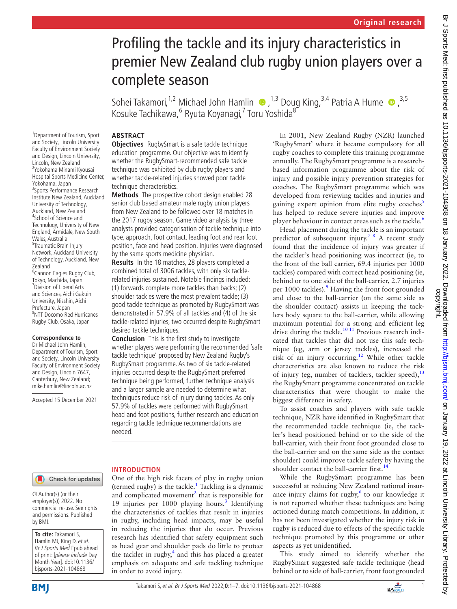# Profiling the tackle and its injury characteristics in premier New Zealand club rugby union players over a complete season

Sohei Takamori,<sup>1,2</sup> Michael John Hamlin  $\bullet$ ,<sup>1,3</sup> Doug King,<sup>3,4</sup> Patria A Hume  $\bullet$ ,<sup>3,5</sup> Kosuke Tachikawa, <sup>6</sup> Ryuta Koyanagi, <sup>7</sup> Toru Yoshida<sup>8</sup>

### **ABSTRACT**

**Objectives** RugbySmart is a safe tackle technique education programme. Our objective was to identify whether the RugbySmart-recommended safe tackle technique was exhibited by club rugby players and whether tackle-related injuries showed poor tackle technique characteristics.

**Methods** The prospective cohort design enabled 28 senior club based amateur male rugby union players from New Zealand to be followed over 18 matches in the 2017 rugby season. Game video analysis by three analysts provided categorisation of tackle technique into type, approach, foot contact, leading foot and rear foot position, face and head position. Injuries were diagnosed by the same sports medicine physician.

**Results** In the 18 matches, 28 players completed a combined total of 3006 tackles, with only six tacklerelated injuries sustained. Notable findings included: (1) forwards complete more tackles than backs; (2) shoulder tackles were the most prevalent tackle; (3) good tackle technique as promoted by RugbySmart was demonstrated in 57.9% of all tackles and (4) of the six tackle-related injuries, two occurred despite RugbySmart desired tackle techniques.

**Conclusion** This is the first study to investigate whether players were performing the recommended 'safe tackle technique' proposed by New Zealand Rugby's RugbySmart programme. As two of six tackle-related injuries occurred despite the RugbySmart preferred technique being performed, further technique analysis and a larger sample are needed to determine what techniques reduce risk of injury during tackles. As only 57.9% of tackles were performed with RugbySmart head and foot positions, further research and education regarding tackle technique recommendations are needed.

and Society, Lincoln University Faculty of Environment Society and Design, Lincoln University, Lincoln, New Zealand 2 Yokohama Minami Kyousai Hospital Sports Medicine Center, Yokohama, Japan 3 Sports Performance Research Institute New Zealand, Auckland University of Technology, Auckland, New Zealand 4 School of Science and Technology, University of New England, Armidale, New South Wales, Australia 5 Traumatic Brain Injury Network, Auckland University of Technology, Auckland, New Zealand 6 Cannon Eagles Rugby Club, Tokyo, Machida, Japan 7 Division of Liberal Arts and Sciences, Aichi Gakuin University, Nisshin, Aichi Prefecture, Japan 8 NTT Docomo Red Hurricanes Rugby Club, Osaka, Japan

1 Department of Tourism, Sport

#### **Correspondence to**

Dr Michael John Hamlin, Department of Tourism, Sport and Society, Lincoln University Faculty of Environment Society and Design, Lincoln 7647, Canterbury, New Zealand; mike.hamlin@lincoln.ac.nz

Accepted 15 December 2021

# Check for updates

© Author(s) (or their employer(s)) 2022. No commercial re-use. See rights and permissions. Published by BMJ.

**To cite:** Takamori S, Hamlin MJ, King D, et al. Br J Sports Med Epub ahead of print: [please include Day Month Year]. doi:10.1136/ bjsports-2021-104868

### **INTRODUCTION**

One of the high risk facets of play in rugby union (termed rugby) is the tackle.<sup>[1](#page-6-0)</sup> Tackling is a dynamic and complicated movement<sup>[2](#page-6-1)</sup> that is responsible for 19 injuries per 1000 playing hours.<sup>[3](#page-6-2)</sup> Identifying the characteristics of tackles that result in injuries in rugby, including head impacts, may be useful in reducing the injuries that do occur. Previous research has identified that safety equipment such as head gear and shoulder pads do little to protect the tackler in rugby, $4$  and this has placed a greater emphasis on adequate and safe tackling technique in order to avoid injury.

In 2001, New Zealand Rugby (NZR) launched 'RugbySmart' where it became compulsory for all rugby coaches to complete this training programme annually. The RugbySmart programme is a researchbased information programme about the risk of injury and possible injury prevention strategies for coaches. The RugbySmart programme which was developed from reviewing tackles and injuries and gaining expert opinion from elite rugby coaches $<sup>5</sup>$  $<sup>5</sup>$  $<sup>5</sup>$ </sup> has helped to reduce severe injuries and improve player behaviour in contact areas such as the tackle.<sup>[6](#page-6-5)</sup>

Head placement during the tackle is an important predictor of subsequent injury.<sup>[7 8](#page-6-6)</sup> A recent study found that the incidence of injury was greater if the tackler's head positioning was incorrect (ie, to the front of the ball carrier, 69.4 injuries per 1000 tackles) compared with correct head positioning (ie, behind or to one side of the ball-carrier, 2.7 injuries per 1000 tackles).<sup>[9](#page-6-7)</sup> Having the front foot grounded and close to the ball-carrier (on the same side as the shoulder contact) assists in keeping the tacklers body square to the ball-carrier, while allowing maximum potential for a strong and efficient leg drive during the tackle.<sup>10 11</sup> Previous research indicated that tackles that did not use this safe technique (eg, arm or jersey tackles), increased the risk of an injury occurring.[12](#page-6-9) While other tackle characteristics are also known to reduce the risk of injury (eg, number of tacklers, tackler speed), $^{13}$  $^{13}$  $^{13}$ the RugbySmart programme concentrated on tackle characteristics that were thought to make the biggest difference in safety.

To assist coaches and players with safe tackle technique, NZR have identified in RugbySmart that the recommended tackle technique (ie, the tackler's head positioned behind or to the side of the ball-carrier, with their front foot grounded close to the ball-carrier and on the same side as the contact shoulder) could improve tackle safety by having the shoulder contact the ball-carrier first.<sup>[14](#page-6-11)</sup>

While the RugbySmart programme has been successful at reducing New Zealand national insurance injury claims for rugby, $6$  to our knowledge it is not reported whether these techniques are being actioned during match competitions. In addition, it has not been investigated whether the injury risk in rugby is reduced due to effects of the specific tackle technique promoted by this programme or other aspects as yet unidentified.

This study aimed to identify whether the RugbySmart suggested safe tackle technique (head behind or to side of ball-carrier, front foot grounded



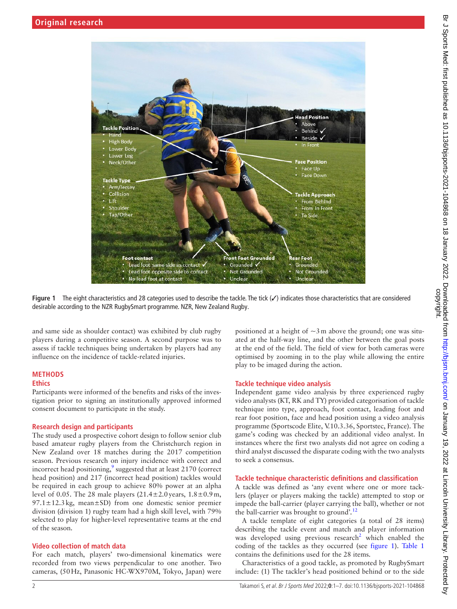

**Figure 1** The eight characteristics and 28 categories used to describe the tackle. The tick (✓) indicates those characteristics that are considered desirable according to the NZR RugbySmart programme. NZR, New Zealand Rugby.

and same side as shoulder contact) was exhibited by club rugby players during a competitive season. A second purpose was to assess if tackle techniques being undertaken by players had any influence on the incidence of tackle-related injuries.

# **METHODS**

# **Ethics**

Participants were informed of the benefits and risks of the investigation prior to signing an institutionally approved informed consent document to participate in the study.

# **Research design and participants**

The study used a prospective cohort design to follow senior club based amateur rugby players from the Christchurch region in New Zealand over 18 matches during the 2017 competition season. Previous research on injury incidence with correct and incorrect head positioning, $\frac{9}{2}$  $\frac{9}{2}$  $\frac{9}{2}$  suggested that at least 2170 (correct head position) and 217 (incorrect head position) tackles would be required in each group to achieve 80% power at an alpha level of 0.05. The 28 male players  $(21.4 \pm 2.0 \text{ years}, 1.8 \pm 0.9 \text{ m},$  $97.1 \pm 12.3$  kg, mean $\pm$ SD) from one domestic senior premier division (division 1) rugby team had a high skill level, with 79% selected to play for higher-level representative teams at the end of the season.

# **Video collection of match data**

For each match, players' two-dimensional kinematics were recorded from two views perpendicular to one another. Two cameras, (50Hz, Panasonic HC-WX970M, Tokyo, Japan) were <span id="page-1-0"></span>positioned at a height of  $\sim$ 3 m above the ground; one was situated at the half-way line, and the other between the goal posts at the end of the field. The field of view for both cameras were optimised by zooming in to the play while allowing the entire play to be imaged during the action.

# **Tackle technique video analysis**

Independent game video analysis by three experienced rugby video analysts (KT, RK and TY) provided categorisation of tackle technique into type, approach, foot contact, leading foot and rear foot position, face and head position using a video analysis programme (Sportscode Elite, V.10.3.36, Sportstec, France). The game's coding was checked by an additional video analyst. In instances where the first two analysts did not agree on coding a third analyst discussed the disparate coding with the two analysts to seek a consensus.

# **Tackle technique characteristic definitions and classification**

A tackle was defined as 'any event where one or more tacklers (player or players making the tackle) attempted to stop or impede the ball-carrier (player carrying the ball), whether or not the ball-carrier was brought to ground'*.* [12](#page-6-9)

A tackle template of eight categories (a total of 28 items) describing the tackle event and match and player information was developed using previous research<sup>[2](#page-6-1)</sup> which enabled the coding of the tackles as they occurred (see [figure](#page-1-0) 1). [Table](#page-2-0) 1 contains the definitions used for the 28 items.

Characteristics of a good tackle, as promoted by RugbySmart include: (1) The tackler's head positioned behind or to the side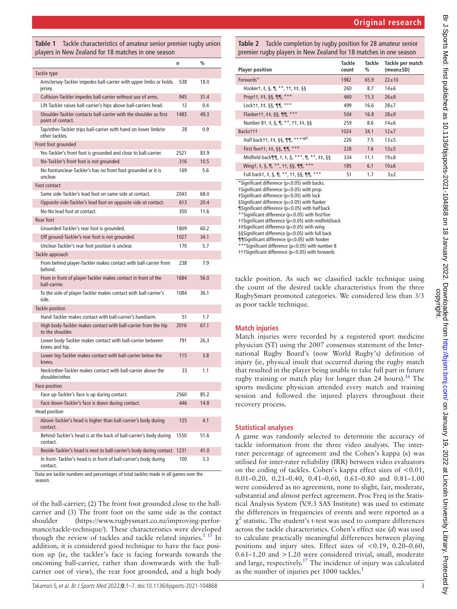<span id="page-2-0"></span>**Table 1** Tackle characteristics of amateur senior premier rugby union players in New Zealand for 18 matches in one season

|                                                                                        | n    | $\frac{0}{0}$ |
|----------------------------------------------------------------------------------------|------|---------------|
| Tackle type                                                                            |      |               |
| Arm/Jersey-Tackler impedes ball-carrier with upper limbs or holds<br>jersey.           | 538  | 18.0          |
| Collision-Tackler impedes ball-carrier without use of arms.                            | 945  | 31.4          |
| Lift-Tackler raises ball-carrier's hips above ball-carriers head.                      | 12   | 0.4           |
| Shoulder-Tackler contacts ball-carrier with the shoulder as first<br>point of contact. | 1483 | 49.3          |
| Tap/other-Tackler trips ball-carrier with hand on lower limb/or<br>other tackles.      | 28   | 0.9           |
| Front foot arounded                                                                    |      |               |
| Yes-Tackler's front foot is grounded and close to ball-carrier.                        | 2521 | 83.9          |
| No-Tackler's front foot is not grounded.                                               | 316  | 10.5          |
| No foot/unclear-Tackler's has no front foot grounded or it is<br>unclear.              | 169  | 5.6           |
| Foot contact                                                                           |      |               |
| Same side-Tackler's lead foot on same side at contact.                                 | 2043 | 68.0          |
| Opposite side-Tackler's lead foot on opposite side at contact.                         | 613  | 20.4          |
| No-No lead foot at contact.                                                            | 350  | 11.6          |
| Rear foot                                                                              |      |               |
| Grounded-Tackler's rear foot is grounded.                                              | 1809 | 60.2          |
| Off ground-Tackler's rear foot is not grounded.                                        | 1027 | 34.1          |
| Unclear-Tackler's rear foot position is unclear.                                       | 170  | 5.7           |
| Tackle approach                                                                        |      |               |
| From behind player-Tackler makes contact with ball-carrier from<br>hehind.             | 238  | 7.9           |
| From in front of player-Tackler makes contact in front of the<br>ball-carrier.         | 1684 | 56.0          |
| To the side of player-Tackler makes contact with ball-carrier's<br>side.               | 1084 | 36.1          |
| <b>Tackle position</b>                                                                 |      |               |
| Hand-Tackler makes contact with ball-carrier's hand/arm.                               | 51   | 1.7           |
| High body-Tackler makes contact with ball-carrier from the hip<br>to the shoulder.     | 2016 | 67.1          |
| Lower body-Tackler makes contact with ball-carrier between<br>knees and hip.           | 791  | 26.3          |
| Lower leg-Tackler makes contact with ball-carrier below the<br>knees.                  | 115  | 3.8           |
| Neck/other-Tackler makes contact with ball-carrier above the<br>shoulder/other.        | 33   | 1.1           |
| Face position                                                                          |      |               |
| Face up-Tackler's face is up during contact.                                           | 2560 | 85.2          |
| Face down-Tackler's face is down during contact.                                       | 446  | 14.8          |
| Head position                                                                          |      |               |
| Above-Tackler's head is higher than ball-carrier's body during<br>contact.             | 125  | 4.1           |
| Behind-Tackler's head is at the back of ball-carrier's body during<br>contact.         | 1550 | 51.6          |
| Beside-Tackler's head is next to ball-carrier's body during contact.                   | 1231 | 41.0          |
| In front- Tackler's head is in front of ball-carrier's body during<br>contact.         | 100  | 3.3           |

Data are tackle numbers and percentages of total tackles made in all games over the season.

of the ball-carrier; (2) The front foot grounded close to the ballcarrier and (3) The front foot on the same side as the contact shoulder ([https://www.rugbysmart.co.nz/improving-perfor](https://www.rugbysmart.co.nz/improving-performance/tackle-technique/)[mance/tackle-technique/](https://www.rugbysmart.co.nz/improving-performance/tackle-technique/)). These characteristics were developed though the review of tackles and tackle related injuries.<sup>1 15</sup> In addition, it is considered good technique to have the face position up (ie, the tackler's face is facing forwards towards the oncoming ball-carrier, rather than downwards with the ballcarrier out of view), the rear foot grounded, and a high body

<span id="page-2-1"></span>**Table 2** Tackle completion by rugby position for 28 amateur senior premier rugby players in New Zealand for 18 matches in one season

| <b>Player position</b>                                                                                                                                                                                                                                     | Tackle<br>count | Tackle<br>% | Tackle per match<br>$(mean \pm SD)$ |
|------------------------------------------------------------------------------------------------------------------------------------------------------------------------------------------------------------------------------------------------------------|-----------------|-------------|-------------------------------------|
| Forwards*                                                                                                                                                                                                                                                  | 1982            | 65.9        | $22 \pm 10$                         |
| Hookert, $\pm$ , $\S$ , $\P$ , $**$ , $\pm\uparrow$ , $\pm\downarrow$ , $\S$ $\S$                                                                                                                                                                          | 260             | 8.7         | $14\pm 6$                           |
| Proptt, $\pm \pm$ , §§, ¶¶, ***                                                                                                                                                                                                                            | 460             | 15.3        | $26 + 8$                            |
| Lock + +, $\frac{55}{11}$ , $\frac{11}{11}$ , $\frac{11}{11}$                                                                                                                                                                                              | 499             | 16.6        | $28 + 7$                            |
| Flankertt, $\pm\pm$ , §§, ¶¶, ***                                                                                                                                                                                                                          | 504             | 16.8        | $28\pm9$                            |
| Number 81, ‡, §, ¶, **, ††, ‡‡, §§                                                                                                                                                                                                                         | 259             | 8.6         | $14\pm 6$                           |
| Backsttt                                                                                                                                                                                                                                                   | 1024            | 34.1        | $12+7$                              |
| Half backtt, ##, §§, ¶¶, *** <sup>cgjkl</sup>                                                                                                                                                                                                              | 226             | 7.5         | $13\pm5$                            |
| First five $t_1$ , $t_2$ , $s_3$ , $s_1$ , $s_2$ , $s_3$ , $s_4$ , $s_5$ , $s_6$ , $s_7$ , $s_7$ , $s_8$ , $s_1$ , $s_2$ , $s_3$ , $s_4$ , $s_5$ , $s_6$ , $s_7$ , $s_8$ , $s_1$ , $s_2$ , $s_3$ , $s_4$ , $s_5$ , $s_6$ , $s_7$ , $s_8$ , $s_1$ , $s_2$ , | 228             | 7.6         | $13\pm5$                            |
| Midfield back $\P\P$ , t, t, s, ***, $\P$ , **, $\pm$ , ss                                                                                                                                                                                                 | 334             | 11.1        | $19\pm8$                            |
| Wingt, ‡, §, ¶, **, ††, §§, ¶¶, ***                                                                                                                                                                                                                        | 185             | 6.1         | $10\pm 6$                           |
| Full backt, ‡, §, ¶, **, ††, §§, ¶¶, ***                                                                                                                                                                                                                   | 51              | 1.7         | $3+2$                               |
| *Significant difference (n<0.05) with hacks                                                                                                                                                                                                                |                 |             |                                     |

\*Significant difference (p<0.05) with backs. †Significant difference (p<0.05) with prop. ‡Significant difference (p<0.05) with lock §Significant difference (p<0.05) with flanker ¶Significant difference (p<0.05) with half back \*\*Significant difference (p<0.05) with first five ††Significant difference (p<0.05) with midfield back ‡‡Significant difference (p<0.05) with wing §§Significant difference (p<0.05) with full back ¶¶Significant difference (p<0.05) with hooker \*\*\*Significant difference (p<0.05) with number 8

†††Significant difference (p<0.05) with forwards

tackle position. As such we classified tackle technique using the count of the desired tackle characteristics from the three RugbySmart promoted categories. We considered less than 3/3 as poor tackle technique.

### **Match injuries**

Match injuries were recorded by a registered sport medicine physician (ST) using the 2007 consensus statement of the International Rugby Board's (now World Rugby's) definition of injury (ie, physical insult that occurred during the rugby match that resulted in the player being unable to take full part in future rugby training or match play for longer than 24 hours).<sup>16</sup> The sports medicine physician attended every match and training session and followed the injured players throughout their recovery process.

#### **Statistical analyses**

A game was randomly selected to determine the accuracy of tackle information from the three video analysts. The interrater percentage of agreement and the Cohen's kappa (*κ*) was utilised for inter-rater reliability (IRR) between video evaluators on the coding of tackles. Cohen's kappa effect sizes of <0.01, 0.01–0.20, 0.21–0.40, 0.41–0.60, 0.61–0.80 and 0.81–1.00 were considered as no agreement, none to slight, fair, moderate, substantial and almost perfect agreement. Proc Freq in the Statistical Analysis System (V.9.3 SAS Institute) was used to estimate the differences in frequencies of events and were reported as a  $\chi^2$  statistic. The student's t-test was used to compare differences across the tackle characteristics. Cohen's effect size (*d*) was used to calculate practically meaningful differences between playing positions and injury sites. Effect sizes of  $< 0.19$ , 0.20–0.60, 0.61–1.20 and >1.20 were considered trivial, small, moderate and large, respectively.<sup>[17](#page-6-13)</sup> The incidence of injury was calculated as the number of injuries per [1](#page-6-0)000 tackles.<sup>1</sup>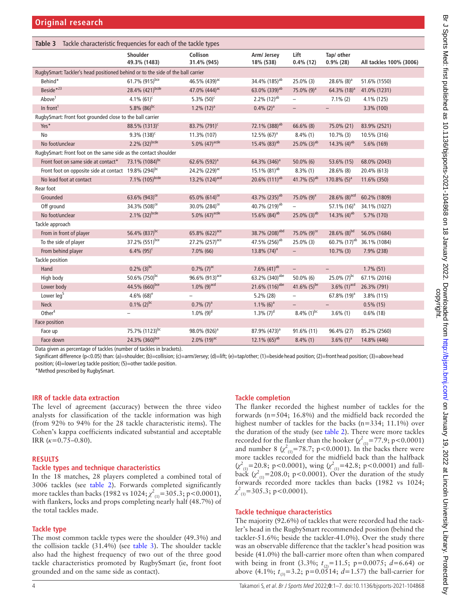<span id="page-3-0"></span>

| Table 3 Tackle characteristic frequencies for each of the tackle types          |                              |                            |                            |                            |                            |                         |
|---------------------------------------------------------------------------------|------------------------------|----------------------------|----------------------------|----------------------------|----------------------------|-------------------------|
|                                                                                 | Shoulder<br>49.3% (1483)     | Collison<br>31.4% (945)    | Arm/ Jersey<br>18% (538)   | Lift<br>$0.4\%$ (12)       | Tap/ other<br>$0.9\%$ (28) | All tackles 100% (3006) |
| RugbySmart: Tackler's head positioned behind or to the side of the ball carrier |                              |                            |                            |                            |                            |                         |
| Behind*                                                                         | 61.7% (915)bce               | 46.5% (439) <sup>ac</sup>  | 34.4% (185) <sup>ab</sup>  | 25.0% (3)                  | 28.6% (8) <sup>a</sup>     | 51.6% (1550)            |
| Beside <sup>*23</sup>                                                           | 28.4% (421) bcde             | 47.0% (444) <sup>ac</sup>  | 63.0% (339) <sup>ab</sup>  | 75.0% (9) <sup>a</sup>     | 64.3% (18) <sup>a</sup>    | 41.0% (1231)            |
| Above <sup>1</sup>                                                              | 4.1% $(61)^c$                | $5.3\%$ (50) <sup>c</sup>  | $2.2\%$ (12) <sup>ab</sup> | $\overline{\phantom{a}}$   | $7.1\%$ (2)                | 4.1% (125)              |
| In front <sup>1</sup>                                                           | 5.8% $(86)^{bc}$             | $1.2\%$ (12) <sup>a</sup>  | $0.4\%$ (2) <sup>a</sup>   | $\overline{\phantom{a}}$   | $\overline{\phantom{a}}$   | 3.3% (100)              |
| RugbySmart: Front foot grounded close to the ball carrier                       |                              |                            |                            |                            |                            |                         |
| Yes*                                                                            | 88.5% (1313) <sup>c</sup>    | 83.7% (791) <sup>c</sup>   | 72.1% (388) <sup>ab</sup>  | $66.6\%$ (8)               | 75.0% (21)                 | 83.9% (2521)            |
| No                                                                              | $9.3\%$ (138) <sup>c</sup>   | 11.3% (107)                | $12.5\%$ (67) <sup>a</sup> | $8.4\%$ (1)                | $10.7\%$ (3)               | 10.5% (316)             |
| No foot/unclear                                                                 | $2.2\%$ (32) <sup>bcde</sup> | 5.0% $(47)^{acde}$         | 15.4% (83) <sup>ab</sup>   | $25.0\%$ (3) <sup>ab</sup> | 14.3% $(4)$ <sup>ab</sup>  | 5.6% (169)              |
| RugbySmart: Front foot on the same side as the contact shoulder                 |                              |                            |                            |                            |                            |                         |
| Front foot on same side at contact*                                             | 73.1% (1084) <sup>bc</sup>   | 62.6% (592) <sup>a</sup>   | 64.3% (346) <sup>a</sup>   | $50.0\%$ (6)               | 53.6% (15)                 | 68.0% (2043)            |
| Front foot on opposite side at contact 19.8% (294) <sup>bc</sup>                |                              | 24.2% (229) <sup>ac</sup>  | 15.1% (81) <sup>ab</sup>   | $8.3\%$ (1)                | 28.6% (8)                  | 20.4% (613)             |
| No lead foot at contact                                                         | 7.1% (105)bcde               | 13.2% (124) <sup>acd</sup> | 20.6% $(111)^{ab}$         | 41.7% $(5)^{ab}$           | $170.8\%$ (5) <sup>a</sup> | 11.6% (350)             |
| Rear foot                                                                       |                              |                            |                            |                            |                            |                         |
| Grounded                                                                        | 63.6% (943) <sup>ce</sup>    | 65.0% (614) <sup>ce</sup>  | 43.7% (235) <sup>ab</sup>  | 75.0% $(9)^e$              | 28.6% $(8)^{acd}$          | 60.2% (1809)            |
| Off ground                                                                      | 34.3% (508) <sup>ce</sup>    | 30.0% (284) <sup>ce</sup>  | 40.7% (219) <sup>ab</sup>  | $\overline{\phantom{0}}$   | 57.1% (16) <sup>a</sup>    | 34.1% (1027)            |
| No foot/unclear                                                                 | $2.1\%$ (32) <sup>bcde</sup> | 5.0% $(47)^{acde}$         | 15.6% $(84)$ <sup>ab</sup> | 25.0% (3) <sup>ab</sup>    | 14.3% $(4)$ <sup>ab</sup>  | 5.7% (170)              |
| Tackle approach                                                                 |                              |                            |                            |                            |                            |                         |
| From in front of player                                                         | 56.4% (837) <sup>bc</sup>    | 65.8% (622) <sup>ace</sup> | 38.7% (208) <sup>abd</sup> | 75.0% $(9)^{ce}$           | 28.6% $(8)^{bd}$           | 56.0% (1684)            |
| To the side of player                                                           | 37.2% (551)bce               | 27.2% (257) <sup>ace</sup> | 47.5% (256) <sup>ab</sup>  | $25.0\%$ (3)               | 60.7% (17) <sup>ab</sup>   | 36.1% (1084)            |
| From behind player                                                              | $6.4\%$ (95) <sup>c</sup>    | $7.0\%$ (66)               | 13.8% (74) <sup>a</sup>    | $-$                        | $10.7\%$ (3)               | 7.9% (238)              |
| <b>Tackle position</b>                                                          |                              |                            |                            |                            |                            |                         |
| Hand                                                                            | $0.2\%$ (3) <sup>bc</sup>    | $0.7\%$ (7) <sup>ac</sup>  | 7.6% (41) <sup>ab</sup>    | $\overline{\phantom{a}}$   | $\overline{\phantom{a}}$   | $1.7\%$ (51)            |
| High body                                                                       | 50.6% (750)bc                | 96.6% (913) <sup>ace</sup> | 63.2% (340) <sup>abe</sup> | 50.0% (6)                  | 25.0% $(7)^{bc}$           | 67.1% (2016)            |
| Lower body                                                                      | 44.5% (660)bce               | $1.0\%$ (9) <sup>acd</sup> | 21.6% (116) <sup>abe</sup> | 41.6% $(5)^{be}$           | 3.6% $(1)^{acd}$           | 26.3% (791)             |
| Lower leg <sup>5</sup>                                                          | 4.6% $(68)^e$                |                            | 5.2% (28)                  | $\overline{\phantom{0}}$   | 67.8% (19) <sup>a</sup>    | 3.8% (115)              |
| <b>Neck</b>                                                                     | $0.1\%$ (2) <sup>bc</sup>    | $0.7\%$ $(7)^a$            | $1.1\%$ (6) <sup>a</sup>   | $\equiv$                   |                            | $0.5\%$ (15)            |
| Other <sup>4</sup>                                                              |                              | $1.0\%$ (9) <sup>d</sup>   | $1.3\%$ (7) <sup>d</sup>   | 8.4% $(1)^{bc}$            | $3.6\%$ (1)                | $0.6\%$ (18)            |
| Face position                                                                   |                              |                            |                            |                            |                            |                         |
| Face up                                                                         | 75.7% (1123)bc               | 98.0% (926) <sup>a</sup>   | 87.9% (473) <sup>a</sup>   | 91.6% (11)                 | 96.4% (27)                 | 85.2% (2560)            |
| Face down                                                                       | 24.3% (360)bce               | $2.0\%$ (19) <sup>ac</sup> | 12.1% $(65)^{ab}$          | $8.4\%$ (1)                | 3.6% $(1)^a$               | 14.8% (446)             |

Data given as percentage of tackles (number of tackles in brackets).

Significant difference (p<0.05) than: (a)=shoulder; (b)=collision; (c)=arm/Jersey; (d)=lift; (e)=tap/other; (1)=beside head position; (2)=front head position; (3)=above head position; (4)=lower Leg tackle position; (5)=other tackle position.

\*Method prescribed by RugbySmart.

#### **IRR of tackle data extraction**

The level of agreement (accuracy) between the three video analysts for classification of the tackle information was high (from 92% to 94% for the 28 tackle characteristic items). The Cohen's kappa coefficients indicated substantial and acceptable IRR (*κ*=0.75–0.80).

#### **RESULTS**

#### **Tackle types and technique characteristics**

In the 18 matches, 28 players completed a combined total of 3006 tackles (see [table](#page-2-1) 2). Forwards completed significantly more tackles than backs (1982 vs 1024;  $\chi^2_{(1)}$ =305.3; p<0.0001), with flankers, locks and props completing nearly half (48.7%) of the total tackles made.

#### **Tackle type**

The most common tackle types were the shoulder (49.3%) and the collision tackle (31.4%) (see [table](#page-3-0) 3). The shoulder tackle also had the highest frequency of two out of the three good tackle characteristics promoted by RugbySmart (ie, front foot grounded and on the same side as contact).

#### **Tackle completion**

The flanker recorded the highest number of tackles for the forwards (n=504; 16.8%) and the midfield back recorded the highest number of tackles for the backs (n=334; 11.1%) over the duration of the study (see [table](#page-2-1) 2). There were more tackles recorded for the flanker than the hooker  $(\chi^2_{(1)}=77.9; p<0.0001)$ and number 8  $(\chi^2_{(1)}=78.7; p<0.0001)$ . In the backs there were more tackles recorded for the midfield back than the halfback  $(\chi^2_{(1)} = 20.8; \, p < 0.0001)$ , wing  $(\chi^2_{(1)} = 42.8; \, p < 0.0001)$  and fullback  $\left(\chi^2_{(1)}=208.0; p<0.0001\right)$ . Over the duration of the study forwards recorded more tackles than backs (1982 vs 1024;  $\chi^2$ <sub>(1)</sub>=305.3; p<0.0001).

#### **Tackle technique characteristics**

The majority (92.6%) of tackles that were recorded had the tackler's head in the RugbySmart recommended position (behind the tackler-51.6%; beside the tackler-41.0%). Over the study there was an observable difference that the tackler's head position was beside (41.0%) the ball-carrier more often than when compared with being in front (3.3%;  $t_{(2)}=11.5$ ; p=0.0075; *d*=6.64) or above (4.1%;  $t_{0} = 3.2$ ; p=0.0514; *d*=1.57) the ball-carrier for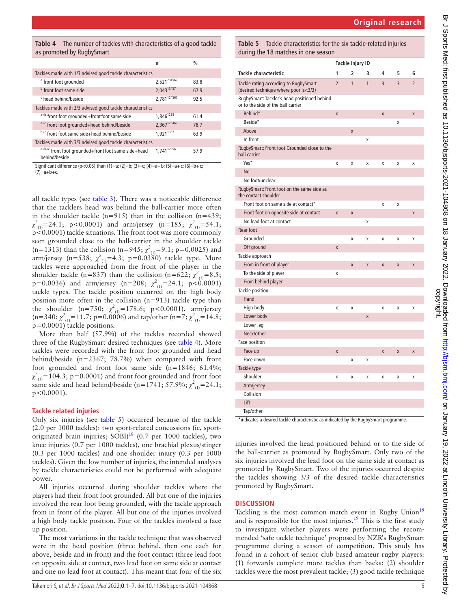<span id="page-4-0"></span>**Table 4** The number of tackles with characteristics of a good tackle as promoted by RugbySmart

|                                                                                      | n                      | $\frac{0}{0}$ |  |  |
|--------------------------------------------------------------------------------------|------------------------|---------------|--|--|
| Tackles made with 1/3 advised good tackle characteristics                            |                        |               |  |  |
| <sup>a</sup> front foot grounded                                                     | 2,521234567            | 83.8          |  |  |
| <sup>b</sup> front foot same side                                                    | 2,04313457             | 67.9          |  |  |
| <sup>c</sup> head behind/beside                                                      | 2,781124567            | 92.5          |  |  |
| Tackles made with 2/3 advised good tackle characteristics                            |                        |               |  |  |
| a+b front foot grounded+front foot same side                                         | 1,846 <sup>1235</sup>  | 61.4          |  |  |
| a <sup>+c</sup> front foot grounded+head behind/beside                               | 2,367123467            | 78.7          |  |  |
| b+c front foot same side+head behind/beside                                          | 1.9211357              | 63.9          |  |  |
| Tackles made with 3/3 advised good tackle characteristics                            |                        |               |  |  |
| a+b+c front foot grounded+front foot same side+head<br>behind/beside                 | 1,741 <sup>12356</sup> | 57.9          |  |  |
| Significant difference (p<0.05) than (1)=a; (2)=b; (3)=c; (4)=a+b; (5)=a+c; (6)=b+c; |                        |               |  |  |

 $(7) = a + b + c$ .

all tackle types (see [table](#page-3-0) 3). There was a noticeable difference that the tacklers head was behind the ball-carrier more often in the shoulder tackle ( $n=915$ ) than in the collision ( $n=439$ ;  $\chi^2_{(1)}$ =24.1; p<0.0001) and arm/jersey (n=185;  $\chi^2_{(1)}$ =54.1; p<0.0001) tackle situations. The front foot was more commonly seen grounded close to the ball-carrier in the shoulder tackle (n=1313) than the collision (n=945;  $\chi^2_{(1)}$ =9.1; p=0.0025) and arm/jersey (n=538;  $\chi^2_{(1)}$ =4.3; p=0.0380) tackle type. More tackles were approached from the front of the player in the shoulder tackle (n=837) than the collision (n=622;  $\chi^2_{(1)}=8.5$ ; p=0.0036) and arm/jersey (n=208;  $\chi^2_{(1)}$ =24.1; p<0.0001) tackle types. The tackle position occurred on the high body position more often in the collision (n=913) tackle type than the shoulder (n=750;  $\chi^2_{(1)}$ =178.6; p<0.0001), arm/jersey  $(n=340; \chi^2_{(1)}=11.7; p=0.0006)$  and tap/other  $(n=7; \chi^2_{(1)}=14.8;$ p=0.0001) tackle positions.

More than half (57.9%) of the tackles recorded showed three of the RugbySmart desired techniques (see [table](#page-4-0) 4). More tackles were recorded with the front foot grounded and head behind/beside (n=2367; 78.7%) when compared with front foot grounded and front foot same side (n=1846; 61.4%;  $\chi^2_{(1)}$ =104.3; p=0.0001) and front foot grounded and front foot same side and head behind/beside (n=1741; 57.9%;  $\chi^2_{(1)}$ =24.1; p<0.0001).

#### **Tackle related injuries**

Only six injuries (see [table](#page-4-1) 5) occurred because of the tackle (2.0 per 1000 tackles): two sport-related concussions (ie, sportoriginated brain injuries;  $SOBI$ <sup>[18](#page-6-14)</sup> (0.7 per 1000 tackles), two knee injuries (0.7 per 1000 tackles), one brachial plexus/stinger (0.3 per 1000 tackles) and one shoulder injury (0.3 per 1000 tackles). Given the low number of injuries, the intended analyses by tackle characteristics could not be performed with adequate power.

All injuries occurred during shoulder tackles where the players had their front foot grounded. All but one of the injuries involved the rear foot being grounded, with the tackle approach from in front of the player. All but one of the injuries involved a high body tackle position. Four of the tackles involved a face up position.

The most variations in the tackle technique that was observed were in the head position (three behind, then one each for above, beside and in front) and the foot contact (three lead foot on opposite side at contact, two lead foot on same side at contact and one no lead foot at contact). This meant that four of the six

<span id="page-4-1"></span>**Table 5** Tackle characteristics for the six tackle-related injuries during the 18 matches in one season

|                                                                                    | Tackle injury ID |                |              |   |                |                |
|------------------------------------------------------------------------------------|------------------|----------------|--------------|---|----------------|----------------|
| <b>Tackle characteristic</b>                                                       | 1                | $\overline{2}$ | 3            | 4 | 5              | 6              |
| Tackle rating according to RugbySmart<br>(desired technique where poor is<3/3)     | $\overline{2}$   | $\mathbf{1}$   | $\mathbf{1}$ | 3 | $\overline{3}$ | $\overline{2}$ |
| RugbySmart: Tackler's head positioned behind<br>or to the side of the ball carrier |                  |                |              |   |                |                |
| Behind*                                                                            | X                |                |              | X |                | X              |
| Beside*                                                                            |                  |                |              |   | X              |                |
| Above                                                                              |                  | X              |              |   |                |                |
| In front                                                                           |                  |                | X            |   |                |                |
| RugbySmart: Front foot Grounded close to the<br>ball carrier                       |                  |                |              |   |                |                |
| Yes*                                                                               | X                | Χ              | Χ            | X | X              | Χ              |
| <b>No</b>                                                                          |                  |                |              |   |                |                |
| No foot/unclear                                                                    |                  |                |              |   |                |                |
| RugbySmart: Front foot on the same side as<br>the contact shoulder                 |                  |                |              |   |                |                |
| Front foot on same side at contact*                                                |                  |                |              | X | X              |                |
| Front foot on opposite side at contact                                             | X                | X              |              |   |                | X              |
| No lead foot at contact                                                            |                  |                | X            |   |                |                |
| Rear foot                                                                          |                  |                |              |   |                |                |
| Grounded                                                                           |                  | X              | X            | X | X              | X              |
| Off ground                                                                         | X                |                |              |   |                |                |
| Tackle approach                                                                    |                  |                |              |   |                |                |
| From in front of player                                                            |                  | X              | X            | X | X              | X              |
| To the side of player                                                              | X                |                |              |   |                |                |
| From behind player                                                                 |                  |                |              |   |                |                |
| Tackle position                                                                    |                  |                |              |   |                |                |
| Hand                                                                               |                  |                |              |   |                |                |
| High body                                                                          | X                | Χ              |              | X | X              | Χ              |
| Lower body                                                                         |                  |                | X            |   |                |                |
| Lower leg                                                                          |                  |                |              |   |                |                |
| Neck/other                                                                         |                  |                |              |   |                |                |
| Face position                                                                      |                  |                |              |   |                |                |
| Face up                                                                            | X                |                |              | X | X              | X              |
| Face down                                                                          |                  | X              | X            |   |                |                |
| Tackle type                                                                        |                  |                |              |   |                |                |
| Shoulder                                                                           | X                | X              | X            | X | X              | X              |
| Arm/jersey                                                                         |                  |                |              |   |                |                |
| Collision                                                                          |                  |                |              |   |                |                |
| Lift                                                                               |                  |                |              |   |                |                |
| Tap/other                                                                          |                  |                |              |   |                |                |

\*indicates a desired tackle characteristic as indicated by the RugbySmart programme.

injuries involved the head positioned behind or to the side of the ball-carrier as promoted by RugbySmart. Only two of the six injuries involved the lead foot on the same side at contact as promoted by RugbySmart. Two of the injuries occurred despite the tackles showing 3/3 of the desired tackle characteristics promoted by RugbySmart.

#### **DISCUSSION**

Tackling is the most common match event in Rugby Union<sup>[19](#page-6-15)</sup> and is responsible for the most injuries. $19$  This is the first study to investigate whether players were performing the recommended 'safe tackle technique' proposed by NZR's RugbySmart programme during a season of competition. This study has found in a cohort of senior club based amateur rugby players: (1) forwards complete more tackles than backs; (2) shoulder tackles were the most prevalent tackle; (3) good tackle technique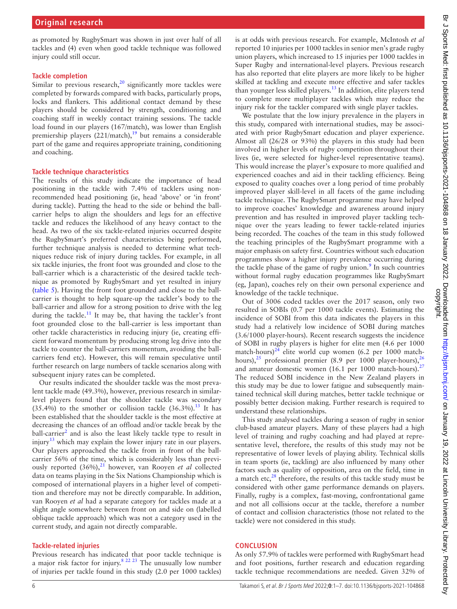as promoted by RugbySmart was shown in just over half of all tackles and (4) even when good tackle technique was followed injury could still occur.

#### **Tackle completion**

Similar to previous research, $^{20}$  $^{20}$  $^{20}$  significantly more tackles were completed by forwards compared with backs, particularly props, locks and flankers. This additional contact demand by these players should be considered by strength, conditioning and coaching staff in weekly contact training sessions. The tackle load found in our players (167/match), was lower than English premiership players  $(221/match)$ ,<sup>19</sup> but remains a considerable part of the game and requires appropriate training, conditioning and coaching.

#### **Tackle technique characteristics**

The results of this study indicate the importance of head positioning in the tackle with 7.4% of tacklers using nonrecommended head positioning (ie, head 'above' or 'in front' during tackle). Putting the head to the side or behind the ballcarrier helps to align the shoulders and legs for an effective tackle and reduces the likelihood of any heavy contact to the head. As two of the six tackle-related injuries occurred despite the RugbySmart's preferred characteristics being performed, further technique analysis is needed to determine what techniques reduce risk of injury during tackles. For example, in all six tackle injuries, the front foot was grounded and close to the ball-carrier which is a characteristic of the desired tackle technique as promoted by RugbySmart and yet resulted in injury ([table](#page-4-1) 5). Having the front foot grounded and close to the ballcarrier is thought to help square-up the tackler's body to the ball-carrier and allow for a strong position to drive with the leg during the tackle.<sup>[11](#page-6-17)</sup> It may be, that having the tackler's front foot grounded close to the ball-carrier is less important than other tackle characteristics in reducing injury (ie, creating efficient forward momentum by producing strong leg drive into the tackle to counter the ball-carriers momentum, avoiding the ballcarriers fend etc). However, this will remain speculative until further research on large numbers of tackle scenarios along with subsequent injury rates can be completed.

Our results indicated the shoulder tackle was the most prevalent tackle made (49.3%), however, previous research in similarlevel players found that the shoulder tackle was secondary  $(35.4\%)$  to the smother or collision tackle  $(36.3\%)$ .<sup>13</sup> It has been established that the shoulder tackle is the most effective at decreasing the chances of an offload and/or tackle break by the ball-carrier<sup>2</sup> and is also the least likely tackle type to result in injury<sup>[13](#page-6-10)</sup> which may explain the lower injury rate in our players. Our players approached the tackle from in front of the ballcarrier 56% of the time, which is considerably less than previ-ously reported (36%),<sup>[21](#page-6-18)</sup> however, van Rooyen et al collected data on teams playing in the Six Nations Championship which is composed of international players in a higher level of competition and therefore may not be directly comparable. In addition, van Rooyen *et al* had a separate category for tackles made at a slight angle somewhere between front on and side on (labelled oblique tackle approach) which was not a category used in the current study, and again not directly comparable.

# **Tackle-related injuries**

Previous research has indicated that poor tackle technique is a major risk factor for injury.[8 22 23](#page-6-19) The unusually low number of injuries per tackle found in this study (2.0 per 1000 tackles)

is at odds with previous research. For example, McIntosh *et al* reported 10 injuries per 1000 tackles in senior men's grade rugby union players, which increased to 15 injuries per 1000 tackles in Super Rugby and international-level players. Previous research has also reported that elite players are more likely to be higher skilled at tackling and execute more effective and safer tackles than younger less skilled players.<sup>13</sup> In addition, elite players tend to complete more multiplayer tackles which may reduce the injury risk for the tackler compared with single player tackles.

We postulate that the low injury prevalence in the players in this study, compared with international studies, may be associated with prior RugbySmart education and player experience. Almost all (26/28 or 93%) the players in this study had been involved in higher levels of rugby competition throughout their lives (ie, were selected for higher-level representative teams). This would increase the player's exposure to more qualified and experienced coaches and aid in their tackling efficiency. Being exposed to quality coaches over a long period of time probably improved player skill-level in all facets of the game including tackle technique. The RugbySmart programme may have helped to improve coaches' knowledge and awareness around injury prevention and has resulted in improved player tackling technique over the years leading to fewer tackle-related injuries being recorded. The coaches of the team in this study followed the teaching principles of the RugbySmart programme with a major emphasis on safety first. Countries without such education programmes show a higher injury prevalence occurring during the tackle phase of the game of rugby union.<sup>[9](#page-6-7)</sup> In such countries without formal rugby education programmes like RugbySmart (eg, Japan), coaches rely on their own personal experience and knowledge of the tackle technique.

Out of 3006 coded tackles over the 2017 season, only two resulted in SOBIs (0.7 per 1000 tackle events). Estimating the incidence of SOBI from this data indicates the players in this study had a relatively low incidence of SOBI during matches (3.6/1000 player-hours). Recent research suggests the incidence of SOBI in rugby players is higher for elite men (4.6 per 1000 match-hours) $^{24}$  elite world cup women (6.2 per 1000 match-hours),<sup>25</sup> professional premier (8.9 per 1000 player-hours),<sup>[26](#page-6-22)</sup> and amateur domestic women (16.1 per 1000 match-hours). $27$ The reduced SOBI incidence in the New Zealand players in this study may be due to lower fatigue and subsequently maintained technical skill during matches, better tackle technique or possibly better decision making. Further research is required to understand these relationships.

This study analysed tackles during a season of rugby in senior club-based amateur players. Many of these players had a high level of training and rugby coaching and had played at representative level, therefore, the results of this study may not be representative of lower levels of playing ability. Technical skills in team sports (ie, tackling) are also influenced by many other factors such as quality of opposition, area on the field, time in a match etc, $^{28}$  $^{28}$  $^{28}$  therefore, the results of this tackle study must be considered with other game performance demands on players. Finally, rugby is a complex, fast-moving, confrontational game and not all collisions occur at the tackle, therefore a number of contact and collision characteristics (those not related to the tackle) were not considered in this study.

# **CONCLUSION**

As only 57.9% of tackles were performed with RugbySmart head and foot positions, further research and education regarding tackle technique recommendations are needed. Given 32% of